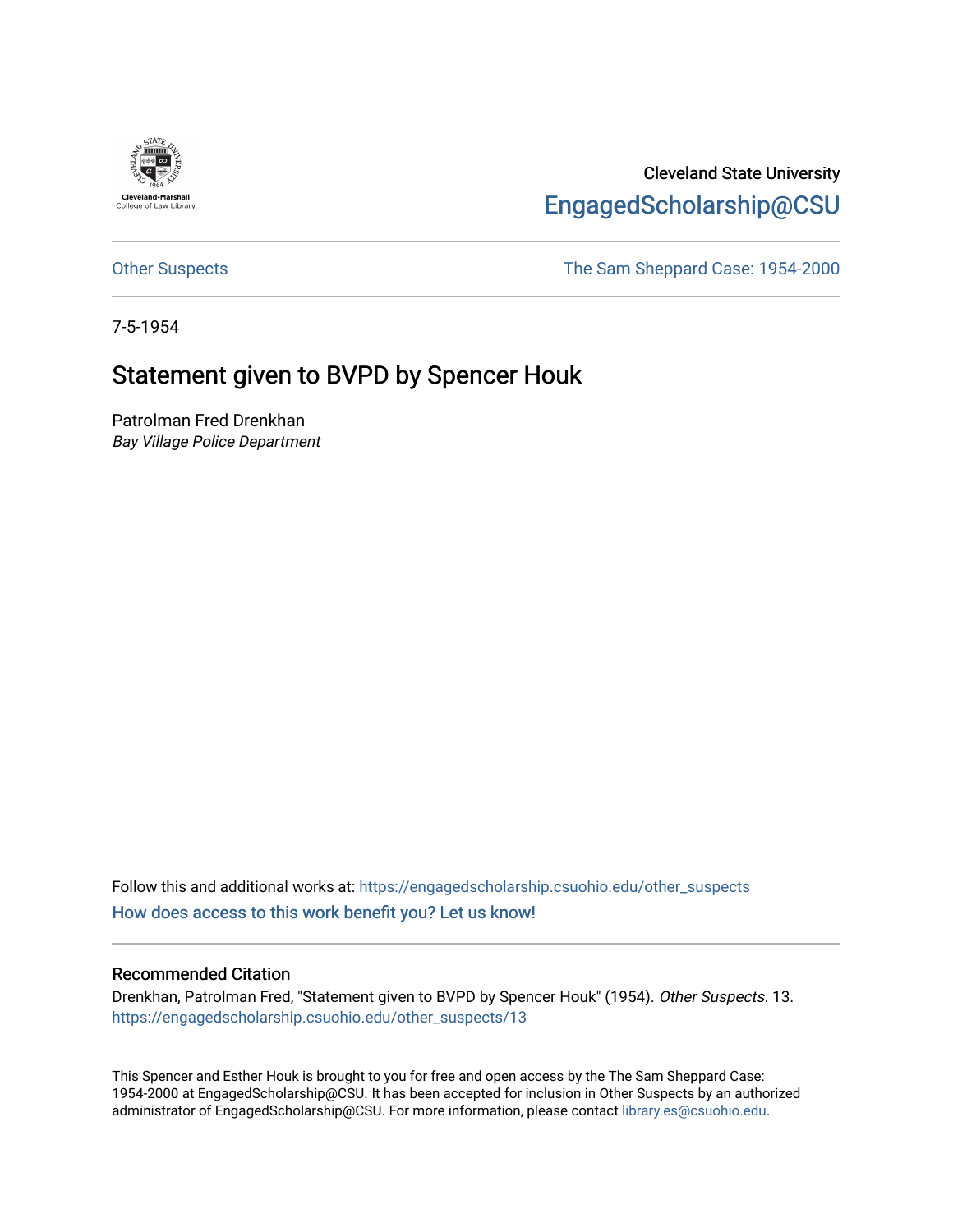

Cleveland State University [EngagedScholarship@CSU](https://engagedscholarship.csuohio.edu/) 

[Other Suspects](https://engagedscholarship.csuohio.edu/other_suspects) The Sam Sheppard Case: 1954-2000

7-5-1954

## Statement given to BVPD by Spencer Houk

Patrolman Fred Drenkhan Bay Village Police Department

Follow this and additional works at: [https://engagedscholarship.csuohio.edu/other\\_suspects](https://engagedscholarship.csuohio.edu/other_suspects?utm_source=engagedscholarship.csuohio.edu%2Fother_suspects%2F13&utm_medium=PDF&utm_campaign=PDFCoverPages) [How does access to this work benefit you? Let us know!](http://library.csuohio.edu/engaged/)

## Recommended Citation

Drenkhan, Patrolman Fred, "Statement given to BVPD by Spencer Houk" (1954). Other Suspects. 13. [https://engagedscholarship.csuohio.edu/other\\_suspects/13](https://engagedscholarship.csuohio.edu/other_suspects/13?utm_source=engagedscholarship.csuohio.edu%2Fother_suspects%2F13&utm_medium=PDF&utm_campaign=PDFCoverPages) 

This Spencer and Esther Houk is brought to you for free and open access by the The Sam Sheppard Case: 1954-2000 at EngagedScholarship@CSU. It has been accepted for inclusion in Other Suspects by an authorized administrator of EngagedScholarship@CSU. For more information, please contact [library.es@csuohio.edu.](mailto:library.es@csuohio.edu)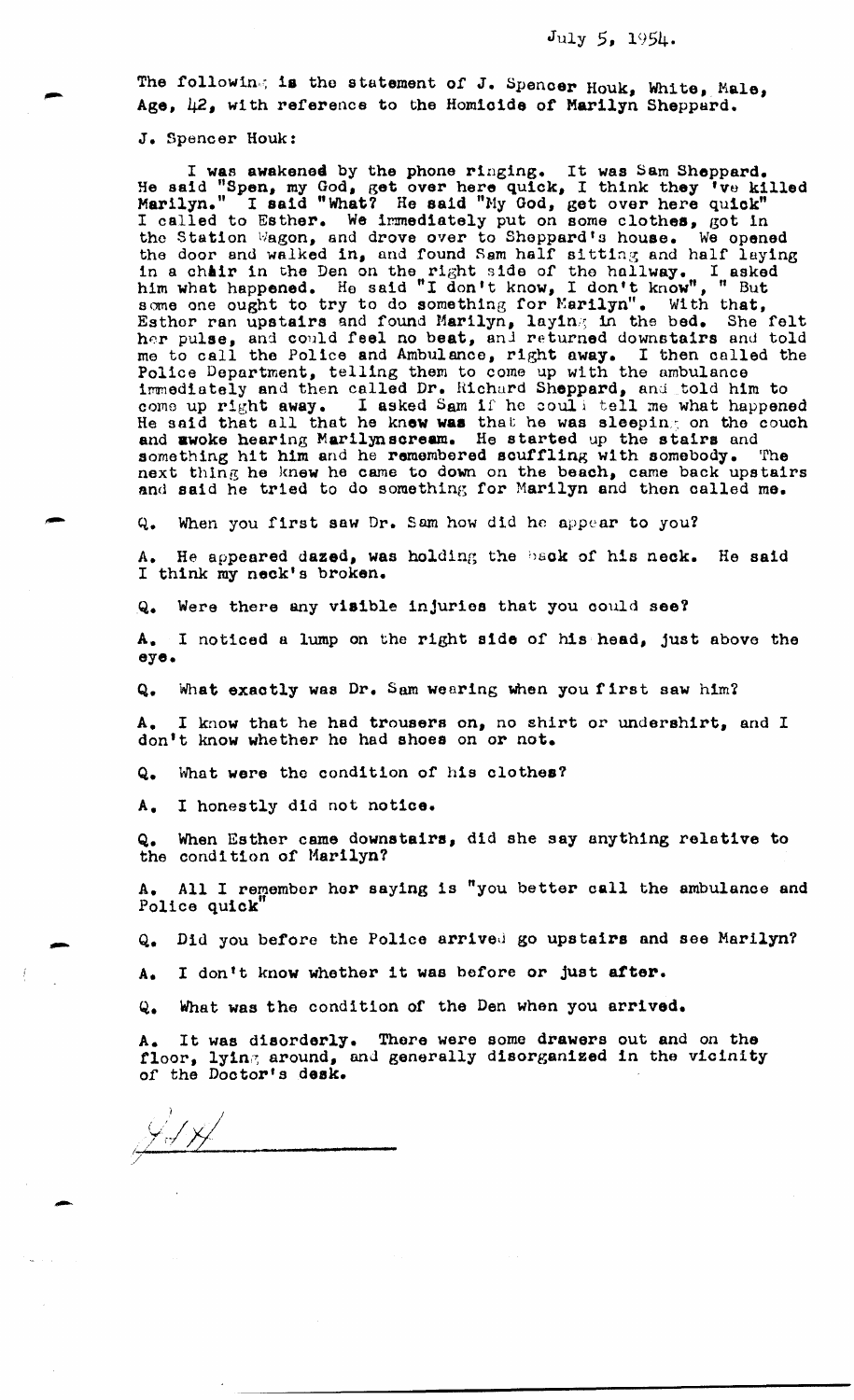The following is the statement of J. Spencer Houk, White, Male, Age, 42, with reference to the Homicide or Marilyn Sheppard.

J. Spencer Houk:

I was awakened by the phone ringing. It was Sam Sheppard. He said "Spen, my God, get over here quick, I think they 'vo killed  $M$ arilyn." I said "What? He said "My God, get over here quick" I called to Esther. We immediately put on some clothes, got in the Station Wagon, and drove over to Sheppard's house. We opened the door and walked in, nnd found Sam half sitting and half laying in a chair in the Den on the right side of the hallway. I asked him what happened. He said "I don't know, I don't know", " But some one ought to try to do something for Marilyn". With that, Esthor ran upstairs and found Marilyn, laying in the bed. She felt her pulse, and could feel no beat, and returned downstairs and told me to call the Police and Ambulance, right away. I then called the Police Department, telling them to come up with the ambulance immediately and then called Dr. Richard Sheppard, and told him to come up right away. I asked Sam if he could tell me what happened I asked Sam if he couli tell me what happened He said that all that he knew was that he was sleeping on the couch and awoke hearing Marilynscream. He started up the stairs and something hit him and he remembered souffling with somebody. The next thing he knew he came to down on the beach, came back upstairs and said he tried to do something for Marilyn and then called me.

Q. When you first saw Dr. Sam how did he appear to you?

A. He appeared dazed, was holding the back of his neck. He said I think my neck's broken.

Q. Were there any visible injuries that you could see?

A. I noticed a lump on tho right side of his head, just above the eye.

Q. What exactly was Dr. Sam wearing when you first saw him?

A. I know that he had trousers on, no shirt or undershirt, and I don't know whether he had shoes on or not.

Q. What were the condition of his clothes?

A. I honestly did not notice.

Q. When Esthor came downstairs, did she say anything relative to the condition of Marilyn?

A. All I remember her saying 1s "you better call the ambulance and Police quick'

Q. Did you before the Police arrived go upstairs and see Marilyn?

A. I don't know whether it was before or just after.

Q. What was the condition of the Den when you arrived.

A. It was disorderly. There were some drawers out and on the floor, lying around, and generally disorganized in the vicinity *or* the Doctor's desk.

 $\frac{\sqrt{3}}{2}$ 

-